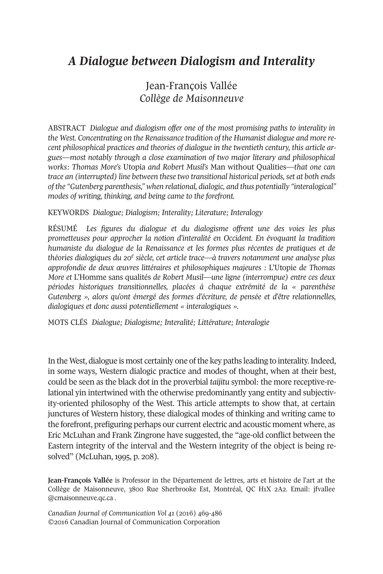# *A Dialogue between Dialogism and Interality*

## Jean-François Vallée *Collège de Maisonneuve*

AbstrAct *Dialogue and dialogism offer one of the most promising paths to interality in the West. Concentrating on the Renaissance tradition of the Humanist dialogue and more recent philosophical practices and theories of dialogue in the twentieth century, this article argues—most notably through a close examination of two major literary and philosophical works: Thomas More's* Utopia *and Robert Musil's* Man without Qualities*—that one can trace an (interrupted) line between these two transitional historical periods,set at both ends of the "Gutenberg parenthesis," when relational, dialogic, and thus potentially "interalogical" modes of writing, thinking, and being came to the forefront.*

Keywords *Dialogue; Dialogism; Interality; Literature; Interalogy*

résUMé *Les figures du dialogue et du dialogisme offrent une des voies les plus prometteuses pour approcher la notion d'interalité en Occident. En évoquant la tradition humaniste du dialogue de la Renaissance et les formes plus récentes de pratiques et de théories dialogiques du 20e siècle, cet article trace—à travers notamment une analyse plus approfondie de deux œuvres littéraires et philosophiques majeures :* L'Utopie *de Thomas More et* L'Homme sans qualités *de Robert Musil—une ligne (interrompue) entre ces deux périodes historiques transitionnelles, placées à chaque extrémité de la « parenthèse Gutenberg », alors qu'ont émergé des formes d'écriture, de pensée et d'être relationnelles, dialogiques et donc aussi potentiellement « interalogiques ».*

Mots cLés *Dialogue; Dialogisme; Interalité; Littérature; Interalogie*

In the West, dialogue is most certainly one of the key paths leading to interality. Indeed, in some ways, western dialogic practice and modes of thought, when at their best, could be seen as the black dot in the proverbial *taijitu* symbol: the more receptive-relational yin intertwined with the otherwise predominantly yang entity and subjectivity-oriented philosophy of the west. this article attempts to show that, at certain junctures of western history, these dialogical modes of thinking and writing came to the forefront, prefiguring perhaps our current electric and acoustic moment where, as eric McLuhan and Frank Zingrone have suggested, the "age-old conflict between the Eastern integrity of the interval and the Western integrity of the object is being resolved" (McLuhan, 1995, p. 208).

Jean-François Vallée is Professor in the Département de lettres, arts et histoire de l'art at the Collège de Maisonneuve, 3800 Rue Sherbrooke Est, Montréal, QC H1X 2A2. Email: [jfvallee](mailto:jfvallee@cmaisonneuve.qc.ca) [@cmaisonneuve.qc.ca](mailto:jfvallee@cmaisonneuve.qc.ca) .

*Canadian Journal of [Communication](http://www.cjc-online.ca) Vol 41* (2016) 469-486 ©2016 canadian Journal of communication corporation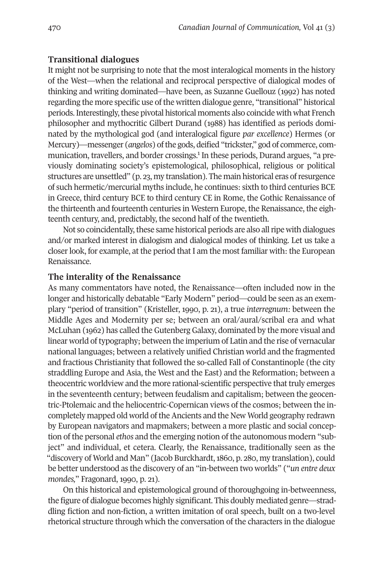## **Transitional dialogues**

It might not be surprising to note that the most interalogical moments in the history of the west—when the relational and reciprocal perspective of dialogical modes of thinking and writing dominated—have been, as suzanne Guellouz (1992) has noted regarding the more specific use of the written dialogue genre, "transitional" historical periods. Interestingly, these pivotal historical moments also coincide with what French philosopher and mythocritic Gilbert durand (1988) has identified as periods dominated by the mythological god (and interalogical figure *par excellence*) Hermes (or Mercury)—messenger (*angelos*) ofthe gods, [de](#page-14-0)ified "trickster," god of commerce, communication, travellers, and border crossings.<sup>1</sup> In these periods, Durand argues, "a previously dominating society's epistemological, philosophical, religious or political structures are unsettled" (p. 23, my translation). the main historical eras ofresurgence of such hermetic/mercurial myths include, he continues: sixth to third centuries bce in Greece, third century BCE to third century CE in Rome, the Gothic Renaissance of the thirteenth and fourteenth centuries in western europe, the renaissance, the eighteenth century, and, predictably, the second half of the twentieth.

Not so coincidentally, these same historical periods are also all ripe with dialogues and/or marked interest in dialogism and dialogical modes of thinking. Let us take a closerlook, for example, at the period that I am the most familiar with: the european Renaissance.

## **The interality of the Renaissance**

As many commentators have noted, the Renaissance—often included now in the longer and historically debatable "Early Modern" period—could be seen as an exemplary "period of transition" (Kristeller, 1990, p. 21), a true *interregnum:* between the Middle Ages and Modernity per se; between an oral/aural/scribal era and what McLuhan (1962) has called the Gutenberg Galaxy, dominated by the more visual and linear world of typography; between the imperium of Latin and the rise of vernacular national languages; between a relatively unified christian world and the fragmented and fractious christianity that followed the so-called Fall of constantinople (the city straddling Europe and Asia, the West and the East) and the Reformation; between a theocentric worldview and the more rational-scientific perspective that truly emerges in the seventeenth century; between feudalism and capitalism; between the geocentric-Ptolemaic and the heliocentric-copernican views of the cosmos; between the incompletely mapped old world of the Ancients and the New World geography redrawn by european navigators and mapmakers; between a more plastic and social conception of the personal *ethos* and the emerging notion of the autonomous modern "subject" and individual, et cetera. Clearly, the Renaissance, traditionally seen as the "discovery of World and Man" (Jacob Burckhardt, 1860, p. 280, my translation), could be better understood as the discovery of an "in-between two worlds" ("*un entre deux mondes,*" Fragonard, 1990, p. 21).

on this historical and epistemological ground of thoroughgoing in-betweenness, the figure of dialogue becomes highly significant. this doubly mediated genre—straddling fiction and non-fiction, a written imitation of oral speech, built on a two-level rhetorical structure through which the conversation of the characters in the dialogue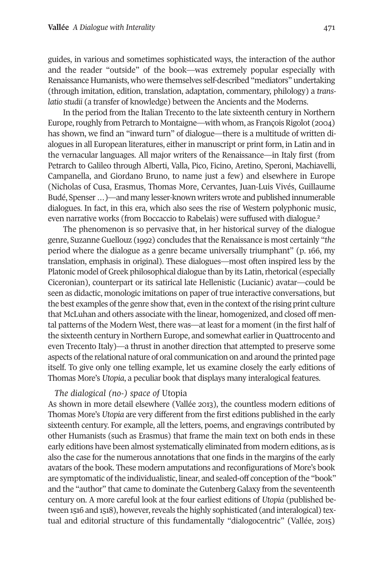guides, in various and sometimes sophisticated ways, the interaction of the author and the reader "outside" of the book—was extremely popular especially with renaissance Humanists, who were themselves self-described "mediators" undertaking (through imitation, edition, translation, adaptation, commentary, philology) a *translatio studii* (a transfer of knowledge) between the Ancients and the Moderns.

In the period from the Italian Trecento to the late sixteenth century in Northern Europe, roughly from Petrarch to Montaigne—with whom, as François Rigolot (2004) has shown, we find an "inward turn" of dialogue—there is a multitude of written dialogues in all european literatures, eitherin manuscript or print form, in Latin and in the vernacular languages. All major writers of the Renaissance—in Italy first (from Petrarch to Galileo through Alberti, Valla, Pico, Ficino, Aretino, speroni, Machiavelli, Campanella, and Giordano Bruno, to name just a few) and elsewhere in Europe (Nicholas of cusa, erasmus, thomas More, cervantes, Juan-Luis Vivés, Guillaume budé, spenser…)—and many lesser-known writers wrote and published innumerable dialogues. In fact, in this era, which also sees the rise of western polyphonic [mu](#page-14-1)sic, even narrative works (from Boccaccio to Rabelais) were suffused with dialogue.<sup>2</sup>

the phenomenon is so pervasive that, in her historical survey of the dialogue genre, suzanne Guellouz (1992) concludes thatthe renaissance is most certainly "*the* period where the dialogue as a genre became universally triumphant" (p. 166, my translation, emphasis in original). these dialogues—most often inspired less by the Platonic model of Greek philosophical dialogue than by its Latin, rhetorical (especially ciceronian), counterpart or its satirical late Hellenistic (Lucianic) avatar—could be seen as didactic, monologic imitations on paper of true interactive conversations, but the best examples of the genre show that, even in the context of the rising print culture that McLuhan and others associate with the linear, homogenized, and closed off mental patterns of the Modern west, there was—at least for a moment (in the first half of the sixteenth century in Northern europe, and somewhat earlierin Quattrocento and even trecento Italy)—a thrust in another direction that attempted to preserve some aspects ofthe relational nature of oral communication on and around the printed page itself. to give only one telling example, let us examine closely the early editions of thomas More's *Utopia*, a peculiar book that displays many interalogical features.

#### *The dialogical (no-) space of* Utopia

As shown in more detail elsewhere (Vallée 2013), the countless modern editions of thomas More's *Utopia* are very different from the first editions published in the early sixteenth century. For example, all the letters, poems, and engravings contributed by other Humanists (such as erasmus) that frame the main text on both ends in these early editions have been almost systematically eliminated from modern editions, as is also the case for the numerous annotations that one finds in the margins of the early avatars of the book. these modern amputations and reconfigurations of More's book are symptomatic ofthe individualistic, linear, and sealed-off conception ofthe "book" and the "author" that came to dominate the Gutenberg Galaxy from the seventeenth century on. A more careful look at the four earliest editions of *Utopia* (published between 1516 and 1518), however, reveals the highly sophisticated (and interalogical) textual and editorial structure of this fundamentally "dialogocentric" (Vallée, 2015)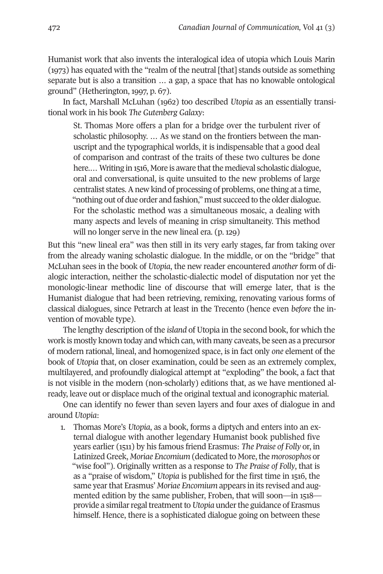Humanist work that also invents the interalogical idea of utopia which Louis Marin (1973) has equated with the "realm of the neutral [that] stands outside as something separate but is also a transition … a gap, a space that has no knowable ontological ground" (Hetherington, 1997, p. 67).

In fact, Marshall McLuhan (1962) too described *Utopia* as an essentially transitional work in his book *The Gutenberg Galaxy*:

St. Thomas More offers a plan for a bridge over the turbulent river of scholastic philosophy. … As we stand on the frontiers between the manuscript and the typographical worlds, it is indispensable that a good deal of comparison and contrast of the traits of these two cultures be done here.... Writing in 1516, More is aware that the medieval scholastic dialogue, oral and conversational, is quite unsuited to the new problems of large centralist states.Anew kind of processing of problems, one thing at a time, "nothing out of due order and fashion," must succeed to the older dialogue. For the scholastic method was a simultaneous mosaic, a dealing with many aspects and levels of meaning in crisp simultaneity. This method will no longer serve in the new lineal era. (p. 129)

but this "new lineal era" was then still in its very early stages, far from taking over from the already waning scholastic dialogue. In the middle, or on the "bridge" that McLuhan sees in the book of *Utopia*, the new reader encountered *another* form of dialogic interaction, neither the scholastic-dialectic model of disputation nor yet the monologic-linear methodic line of discourse that will emerge later, that is the Humanist dialogue that had been retrieving, remixing, renovating various forms of classical dialogues, since Petrarch at least in the trecento (hence even *before* the invention of movable type).

the lengthy description of the *island* of Utopia in the second book, for which the work is mostly known today and which can, with many caveats, be seen as a precursor of modern rational, lineal, and homogenized space, is in fact only *one* element of the book of *Utopia* that, on closer examination, could be seen as an extremely complex, multilayered, and profoundly dialogical attempt at "exploding" the book, a fact that is not visible in the modern (non-scholarly) editions that, as we have mentioned already, leave out or displace much of the original textual and iconographic material.

one can identify no fewer than seven layers and four axes of dialogue in and around *Utopia*:

1. thomas More's *Utopia*, as a book, forms a diptych and enters into an external dialogue with another legendary Humanist book published five years earlier (1511) by his famous friend erasmus: *The Praise of Folly* or, in Latinized Greek, *Moriae Encomium* (dedicated to More, the *morosophos* or "wise fool"). originally written as a response to *The Praise of Folly*, that is as a "praise of wisdom," *Utopia* is published for the first time in 1516, the same year that Erasmus' *Moriae Encomium* appears in its revised and augmented edition by the same publisher, Froben, that will soon—in 1518 provide a similar regal treatment to Utopia under the guidance of Erasmus himself. Hence, there is a sophisticated dialogue going on between these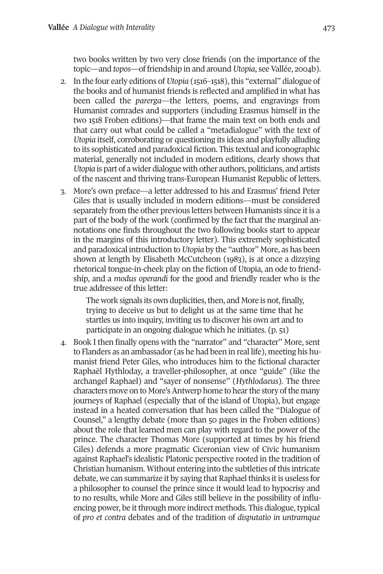two books written by two very close friends (on the importance of the topic—and *topos*—of friendship in and around*Utopia*, seeVallée, 2004b).

- 2. In the four early editions of *Utopia* (1516–1518), this "external" dialogue of the books and of humanist friends is reflected and amplified in what has been called the *parerga*—the letters, poems, and engravings from Humanist comrades and supporters (including Erasmus himself in the two 1518 Froben editions)—that frame the main text on both ends and that carry out what could be called a "metadialogue" with the text of *Utopia* itself, corroborating or questioning its ideas and playfully alluding to its sophisticated and paradoxical fiction. This textual and iconographic material, generally not included in modern editions, clearly shows that *Utopia* is part of a wider dialogue with other authors, politicians, and artists of the nascent and thriving trans-European Humanist Republic of letters.
- 3. More's own preface—a letter addressed to his and Erasmus' friend Peter Giles that is usually included in modern editions—must be considered separately from the other previous letters between Humanists since it is a part of the body of the work (confirmed by the fact that the marginal annotations one finds throughout the two following books start to appear in the margins of this introductory letter). This extremely sophisticated and paradoxical introduction to*Utopia* by the "author" More, as has been shown at length by Elisabeth McCutcheon (1983), is at once a dizzying rhetorical tongue-in-cheek play on the fiction of Utopia, an ode to friendship, and a *modus operandi* for the good and friendly reader who is the true addressee of this letter:

The work signals its own duplicities, then, and More is not, finally, trying to deceive us but to delight us at the same time that he startles us into inquiry, inviting us to discover his own art and to participate in an ongoing dialogue which he initiates. (p. 51)

4. book I then finally opens with the "narrator" and "character" More, sent to Flanders as an ambassador (as he had been in real life), meeting his humanist friend Peter Giles, who introduces him to the fictional character raphaël Hythloday, a traveller-philosopher, at once "guide" (like the archangel Raphael) and "sayer of nonsense" (*Hythlodaeus*). The three characters move on to More's Antwerp home to hear the story of the many journeys of Raphael (especially that of the island of Utopia), but engage instead in a heated conversation that has been called the "Dialogue of counsel," a lengthy debate (more than 50 pages in the Froben editions) about the role that learned men can play with regard to the power of the prince. The character Thomas More (supported at times by his friend Giles) defends a more pragmatic ciceronian view of civic humanism against Raphael's idealistic Platonic perspective rooted in the tradition of christian humanism. without entering into the subtleties of this intricate debate, we can summarize it by saying that Raphael thinks it is useless for a philosopher to counsel the prince since it would lead to hypocrisy and to no results, while More and Giles still believe in the possibility of influencing power, be it through more indirect methods. This dialogue, typical of *pro et contra* debates and of the tradition of *disputatio in untramque*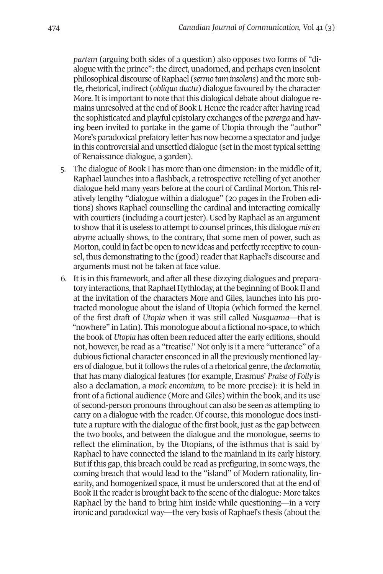*partem* (arguing both sides of a question) also opposes two forms of "dialogue with the prince": the direct, unadorned, and perhaps even insolent philosophical discourse of Raphael (*sermo tam insolens*) and the more subtle,rhetorical, indirect (*obliquo ductu*) dialogue favoured by the character More. It is important to note that this dialogical debate about dialogue remains unresolved at the end of Book I. Hence the reader after having read the sophisticated and playful epistolary exchanges of the *parerga* and having been invited to partake in the game of Utopia through the "author" More's paradoxical prefatory letter has now become a spectator and judge in this controversial and unsettled dialogue (set in the most typical setting of Renaissance dialogue, a garden).

- 5. The dialogue of Book I has more than one dimension: in the middle of it, Raphael launches into a flashback, a retrospective retelling of yet another dialogue held many years before at the court of cardinal Morton. this relatively lengthy "dialogue within a dialogue" (20 pages in the Froben editions) shows Raphael counselling the cardinal and interacting comically with courtiers (including a court jester). Used by Raphael as an argument to show thatitis useless to attemptto counsel princes,this dialogue *mis en abyme* actually shows, to the contrary, that some men of power, such as Morton, could in fact be open to new ideas and perfectly receptive to counsel, thus demonstrating to the (good) reader that Raphael's discourse and arguments must not be taken at face value.
- 6. It is in this framework, and after all these dizzying dialogues and preparatory interactions, that Raphael Hythloday, at the beginning of Book II and at the invitation of the characters More and Giles, launches into his protracted monologue about the island of Utopia (which formed the kernel of the first draft of *Utopia* when it was still called *Nusquama*—that is "nowhere" in Latin). This monologue about a fictional no-space, to which the book of *Utopia* has often been reduced after the early editions, should not, however, be read as a "treatise." Not only is it a mere "utterance" of a dubious fictional character ensconced in all the previously mentioned layers of dialogue, but it follows the rules of a rhetorical genre, the *declamatio*, that has many dialogical features (for example, erasmus' *Praise of Folly* is also a declamation, a *mock encomium,* to be more precise): it is held in front of a fictional audience (More and Giles) within the book, and its use of second-person pronouns throughout can also be seen as attempting to carry on a dialogue with the reader. of course, this monologue does institute a rupture with the dialogue of the first book, just as the gap between the two books, and between the dialogue and the monologue, seems to reflect the elimination, by the Utopians, of the isthmus that is said by Raphael to have connected the island to the mainland in its early history. but if this gap, this breach could be read as prefiguring, in some ways, the coming breach that would lead to the "island" of Modern rationality, linearity, and homogenized space, it must be underscored that at the end of Book II the reader is brought back to the scene of the dialogue: More takes Raphael by the hand to bring him inside while questioning—in a very ironic and paradoxical way—the very basis of Raphael's thesis (about the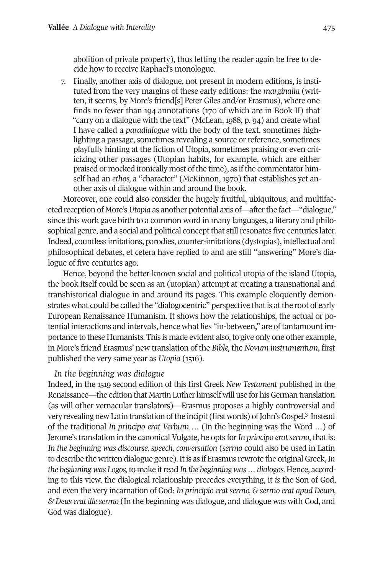abolition of private property), thus letting the reader again be free to decide how to receive Raphael's monologue.

7. Finally, another axis of dialogue, not present in modern editions, is instituted from the very margins of these early editions: the *marginalia* (written, it seems, by More's friend[s] Peter Giles and/or Erasmus), where one finds no fewer than 194 annotations (170 of which are in book II) that "carry on a dialogue with the text" (McLean, 1988, p. 94) and create what I have called a *paradialogue* with the body of the text, sometimes highlighting a passage, sometimes revealing a source or reference, sometimes playfully hinting at the fiction of Utopia, sometimes praising or even criticizing other passages (Utopian habits, for example, which are either praised or mocked ironically most of the time), as if the commentator himself had an *ethos,* a "character" (McKinnon, 1970) that establishes yet another axis of dialogue within and around the book.

Moreover, one could also consider the hugely fruitful, ubiquitous, and multifaceted reception of More's*Utopia* as another potential axis of—afterthe fact—"dialogue," since this work gave birth to a common word in many languages, a literary and philosophical genre, and a social and political concept that still resonates five centuries later. Indeed, countless imitations, parodies, counter-imitations (dystopias), intellectual and philosophical debates, et cetera have replied to and are still "answering" More's dialogue of five centuries ago.

Hence, beyond the better-known social and political utopia of the island Utopia, the book itself could be seen as an (utopian) attempt at creating a transnational and transhistorical dialogue in and around its pages. this example eloquently demonstrates what could be called the "dialogocentric" perspective thatis atthe root of early European Renaissance Humanism. It shows how the relationships, the actual or potential interactions and intervals, hence what lies "in-between," are of tantamount importance to these Humanists. This is made evident also, to give only one other example, in More's friend erasmus' new translation of the *Bible,* the *Novum instrumentum*, first published the very same year as *Utopia* (1516).

#### *In the beginning was dialogue*

Indeed, in the 1519 second edition of this first Greek *New Testament* published in the Renaissance—the edition that Martin Luther himself will use for his German translation (as will other vernacular translators)—Erasmus proposes a highly controv[ers](#page-15-0)ial and very revealing new Latin translation of the incipit (first words) of John's Gospel.<sup>3</sup> Instead of the traditional *In principo erat Verbum …* (In the beginning was the word …) of Jerome's translation in the canonical Vulgate, he opts for*In principo eratsermo*, that is: *In the beginning was discourse, speech, conversation* (*sermo* could also be used in Latin to describe the written dialogue genre).Itis as if erasmus rewrote the originalGreek,*In the beginning was Logos,*to make itread *In the beginning was…dialogos.* Hence, according to this view, the dialogical relationship precedes everything, it *is* the son of God, and even the very incarnation of God: *In principio eratsermo, & sermo erat apud Deum, & Deus erat ille sermo* (In the beginning was dialogue, and dialogue was with God, and God was dialogue).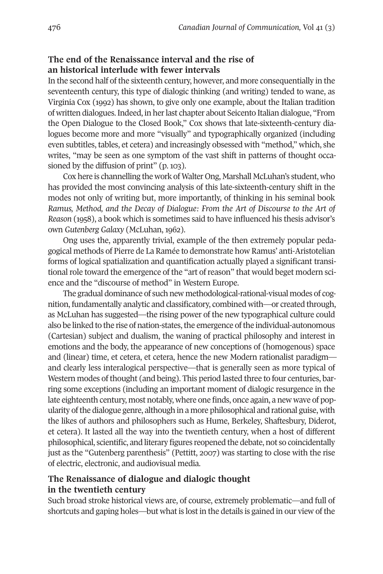## **The end of the Renaissance interval and the rise of an historical interlude with fewer intervals**

In the second half of the sixteenth century, however, and more consequentially in the seventeenth century, this type of dialogic thinking (and writing) tended to wane, as Virginia cox (1992) has shown, to give only one example, about the Italian tradition of written dialogues. Indeed, in her last chapter about Seicento Italian dialogue, "From the Open Dialogue to the Closed Book," Cox shows that late-sixteenth-century dialogues become more and more "visually" and typographically organized (including even subtitles, tables, et cetera) and increasingly obsessed with "method," which, she writes, "may be seen as one symptom of the vast shift in patterns of thought occasioned by the diffusion of print" (p. 103).

cox here is channelling the work of walter ong, Marshall McLuhan's student, who has provided the most convincing analysis of this late-sixteenth-century shift in the modes not only of writing but, more importantly, of thinking in his seminal book *Ramus, Method, and the Decay of Dialogue: From the Art of Discourse to the Art of Reason* (1958), a book which is sometimes said to have influenced his thesis advisor's own *Gutenberg Galaxy* (McLuhan, 1962).

ong uses the, apparently trivial, example of the then extremely popular pedagogical methods of Pierre de La ramée to demonstrate how ramus' anti-Aristotelian forms of logical spatialization and quantification actually played a significant transitional role toward the emergence of the "art of reason" that would beget modern science and the "discourse of method" in Western Europe.

the gradual dominance of such new methodological-rational-visual modes of cognition, fundamentally analytic and classificatory, combined with—or created through, as McLuhan has suggested—the rising power of the new typographical culture could also be linked to the rise of nation-states, the emergence of the individual-autonomous (cartesian) subject and dualism, the waning of practical philosophy and interest in emotions and the body, the appearance of new conceptions of (homogenous) space and (linear) time, et cetera, et cetera, hence the new Modern rationalist paradigm and clearly less interalogical perspective—that is generally seen as more typical of western modes of thought (and being). this period lasted three to four centuries, barring some exceptions (including an important moment of dialogic resurgence in the late eighteenth century, most notably, where one finds, once again, a new wave of popularity ofthe dialogue genre, although in a more philosophical and rational guise, with the likes of authors and philosophers such as Hume, Berkeley, Shaftesbury, Diderot, et cetera). It lasted all the way into the twentieth century, when a host of different philosophical, scientific, and literary figures reopened the debate, not so coincidentally just as the "Gutenberg parenthesis" (Pettitt, 2007) was starting to close with the rise of electric, electronic, and audiovisual media.

## **The Renaissance of dialogue and dialogic thought in the twentieth century**

such broad stroke historical views are, of course, extremely problematic—and full of shortcuts and gaping holes—but what is lost in the details is gained in our view of the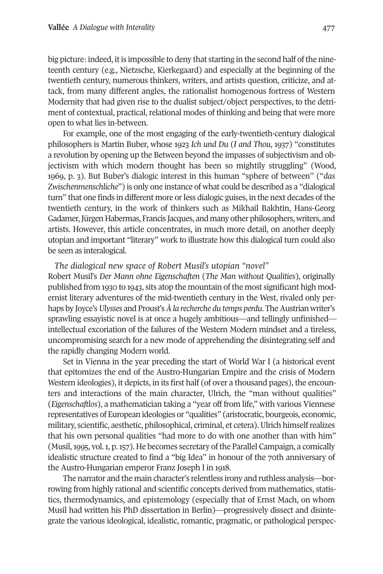big picture: indeed, it is impossible to deny that starting in the second half of the nineteenth century (e.g., Nietzsche, Kierkegaard) and especially at the beginning of the twentieth century, numerous thinkers, writers, and artists question, criticize, and attack, from many different angles, the rationalist homogenous fortress of western Modernity that had given rise to the dualist subject/object perspectives, to the detriment of contextual, practical, relational modes of thinking and being that were more open to what lies in-between.

For example, one of the most engaging of the early-twentieth-century dialogical philosophers is Martin buber, whose 1923 *Ich und Du* (*I and Thou*, 1937) "constitutes a revolution by opening up the between beyond the impasses of subjectivism and objectivism with which modern thought has been so mightily struggling" (wood, 1969, p. 3). but buber's dialogic interest in this human "sphere of between" ("*das Zwischenmenschliche*") is only one instance of what could be described as a "dialogical turn" that one finds in different more orless dialogic guises, in the next decades of the twentieth century, in the work of thinkers such as Mikhail bakhtin, Hans-Georg Gadamer, Jürgen Habermas, Francis Jacques, and many other philosophers, writers, and artists. However, this article concentrates, in much more detail, on another deeply utopian and important "literary" work to illustrate how this dialogical turn could also be seen as interalogical.

#### *The dialogical new space of Robert Musil's utopian "novel"*

robert Musil's *Der Mann ohne Eigenschaften* (*The Man without Qualities*), originally published from 1930 to 1943, sits atop the mountain of the most significant high modernist literary adventures of the mid-twentieth century in the west, rivaled only perhaps by Joyce's Ulysses and Proust's  $\dot{A}$  *la recherche du temps perdu*. The Austrian writer's sprawling essayistic novel is at once a hugely ambitious—and tellingly unfinished intellectual excoriation of the failures of the western Modern mindset and a tireless, uncompromising search for a new mode of apprehending the disintegrating self and the rapidly changing Modern world.

set in Vienna in the year preceding the start of world war I (a historical event that epitomizes the end of the Austro-Hungarian empire and the crisis of Modern western ideologies), it depicts, in its first half (of over a thousand pages), the encounters and interactions of the main character, Ulrich, the "man without qualities" (*Eigenschaftlos*), a mathematician taking a "year off from life," with various Viennese representatives of European ideologies or "qualities" (aristocratic, bourgeois, economic, military, scientific, aesthetic, philosophical, criminal, et cetera).Ulrich himselfrealizes that his own personal qualities "had more to do with one another than with him" (Musil,1995, vol.1, p.157). He becomes secretary ofthe Parallel campaign, a comically idealistic structure created to find a "big Idea" in honour of the 70th anniversary of the Austro-Hungarian emperor Franz Joseph I in 1918.

the narrator and the main character's relentless irony and ruthless analysis—borrowing from highly rational and scientific concepts derived from mathematics, statistics, thermodynamics, and epistemology (especially that of ernst Mach, on whom Musil had written his Phd dissertation in berlin)—progressively dissect and disintegrate the various ideological, idealistic, romantic, pragmatic, or pathological perspec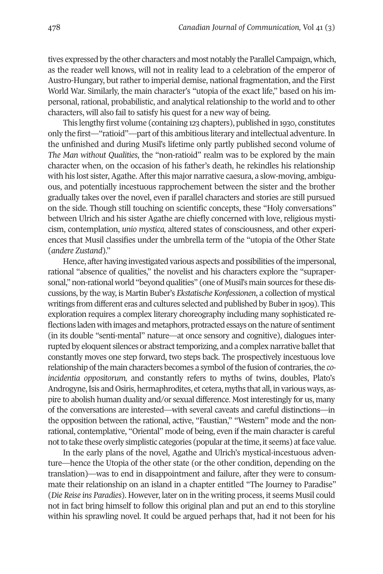tives expressed by the other characters and most notably the Parallel campaign, which, as the reader well knows, will not in reality lead to a celebration of the emperor of Austro-Hungary, but rather to imperial demise, national fragmentation, and the First world war. similarly, the main character's "utopia of the exact life," based on his impersonal, rational, probabilistic, and analytical relationship to the world and to other characters, will also fail to satisfy his quest for a new way of being.

this lengthy first volume (containing 123 chapters), published in 1930, constitutes only the first—"ratioid"—part ofthis ambitious literary and intellectual adventure.In the unfinished and during Musil's lifetime only partly published second volume of *The Man without Qualities*, the "non-ratioid" realm was to be explored by the main character when, on the occasion of his father's death, he rekindles his relationship with his lost sister, Agathe. After this major narrative caesura, a slow-moving, ambiguous, and potentially incestuous rapprochement between the sister and the brother gradually takes over the novel, even if parallel characters and stories are still pursued on the side. though still touching on scientific concepts, these "Holy conversations" between Ulrich and his sister Agathe are chiefly concerned with love, religious mysticism, contemplation, *unio mystica,* altered states of consciousness, and other experiences that Musil classifies under the umbrella term of the "utopia of the other state (*andere Zustand*)."

Hence, after having investigated various aspects and possibilities of the impersonal, rational "absence of qualities," the novelist and his characters explore the "suprapersonal," non-rational world "beyond qualities" (one of Musil's main sources for these discussions, by the way, is Martin buber's *Ekstatische Konfessionen*, a collection of mystical writings from different eras and cultures selected and published by buberin 1909). this exploration requires a complex literary choreography including many sophisticated reflections laden with images and metaphors, protracted essays on the nature of sentiment (in its double "senti-mental" nature—at once sensory and cognitive), dialogues interrupted by eloquent silences or abstract temporizing, and a complex narrative ballet that constantly moves one step forward, two steps back. The prospectively incestuous love relationship of the main characters becomes a symbol of the fusion of contraries, the *coincidentia oppositorum,* and constantly refers to myths of twins, doubles, Plato's Androgyne, Isis and Osiris, hermaphrodites, et cetera, myths that all, in various ways, aspire to abolish human duality and/or sexual difference. Most interestingly for us, many of the conversations are interested—with several caveats and careful distinctions—in the opposition between the rational, active, "Faustian," "western" mode and the nonrational, contemplative, "oriental" mode of being, even if the main character is careful not to take these overly simplistic categories (popular at the time, it seems) at face value.

In the early plans of the novel, Agathe and Ulrich's mystical-incestuous adventure—hence the Utopia of the other state (or the other condition, depending on the translation)—was to end in disappointment and failure, after they were to consummate their relationship on an island in a chapter entitled "The Journey to Paradise" (*Die Reise ins Paradies*). However, later on in the writing process, it seems Musil could not in fact bring himself to follow this original plan and put an end to this storyline within his sprawling novel. It could be argued perhaps that, had it not been for his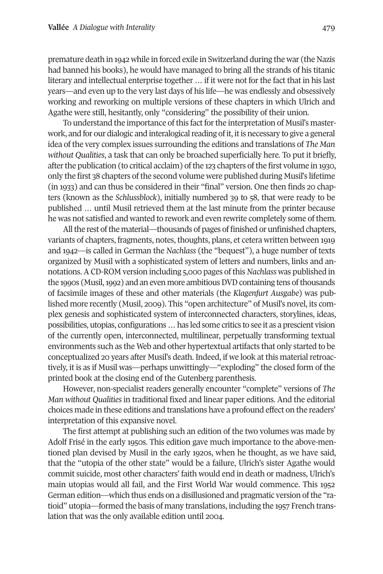premature death in 1942 while in forced exile in switzerland during the war (the Nazis had banned his books), he would have managed to bring all the strands of his titanic literary and intellectual enterprise together … if it were not for the fact that in his last years—and even up to the very last days of his life—he was endlessly and obsessively working and reworking on multiple versions of these chapters in which Ulrich and Agathe were still, hesitantly, only "considering" the possibility of their union.

To understand the importance of this fact for the interpretation of Musil's masterwork, and for our dialogic and interalogical reading of it, it is necessary to give a general idea of the very complex issues surrounding the editions and translations of *The Man without Qualities*, a task that can only be broached superficially here. to put it briefly, after the publication (to critical acclaim) of the 123 chapters of the first volume in 1930, only the first 38 chapters ofthe second volume were published during Musil's lifetime (in 1933) and can thus be considered in their "final" version. one then finds 20 chapters (known as the *Schlussblock*), initially numbered 39 to 58, that were ready to be published … until Musil retrieved them at the last minute from the printer because he was not satisfied and wanted to rework and even rewrite completely some of them.

All the rest of the material—thousands of pages of finished or unfinished chapters, variants of chapters, fragments, notes, thoughts, plans, et cetera written between 1919 and 1942—is called in German the *Nachlass* (the "bequest"), a huge number of texts organized by Musil with a sophisticated system of letters and numbers, links and annotations.Acd-roM version including 5,000 pages ofthis*Nachlass* was published in the 1990s (Musil, 1992) and an even more ambitious DVD containing tens of thousands of facsimile images of these and other materials (the *Klagenfurt Ausgabe*) was published more recently (Musil, 2009). This "open architecture" of Musil's novel, its complex genesis and sophisticated system of interconnected characters, storylines, ideas, possibilities, utopias, configurations…has led some critics to see it as a prescient vision of the currently open, interconnected, multilinear, perpetually transforming textual environments such as the web and other hypertextual artifacts that only started to be conceptualized 20 years after Musil's death. Indeed, if we look at this material retroactively, it is as if Musil was—perhaps unwittingly—"exploding" the closed form of the printed book at the closing end of the Gutenberg parenthesis.

However, non-specialist readers generally encounter "complete" versions of *The Man without Qualities* in traditional fixed and linear paper editions. And the editorial choices made in these editions and translations have a profound effect on the readers' interpretation of this expansive novel.

the first attempt at publishing such an edition of the two volumes was made by Adolf Frisé in the early 1950s. This edition gave much importance to the above-mentioned plan devised by Musil in the early 1920s, when he thought, as we have said, that the "utopia of the other state" would be a failure, Ulrich's sister Agathe would commit suicide, most other characters' faith would end in death or madness, Ulrich's main utopias would all fail, and the First world war would commence. this 1952 German edition—which thus ends on a disillusioned and pragmatic version ofthe "ratioid" utopia—formed the basis of many translations, including the 1957 French translation that was the only available edition until 2004.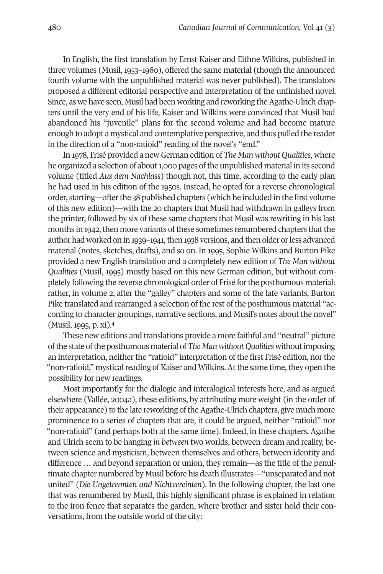In English, the first translation by Ernst Kaiser and Eithne Wilkins, published in three volumes (Musil, 1953–1960), offered the same material (though the announced fourth volume with the unpublished material was never published). the translators proposed a different editorial perspective and interpretation of the unfinished novel. Since, as we have seen, Musil had been working and reworking the Agathe-Ulrich chapters until the very end of his life, Kaiser and wilkins were convinced that Musil had abandoned his "juvenile" plans for the second volume and had become mature enough to adopt a mystical and contemplative perspective, and thus pulled the reader in the direction of a "non-ratioid" reading of the novel's "end."

In 1978, Frisé provided a new German edition of *The Man without Qualities*, where he organized a selection of about 1,000 pages of the unpublished material in its second volume (titled *Aus dem Nachlass*) though not, this time, according to the early plan he had used in his edition of the 1950s. Instead, he opted for a reverse chronological order, starting—afterthe 38 published chapters (which he included in the first volume of this new edition)—with the 20 chapters that Musil had withdrawn in galleys from the printer, followed by six of these same chapters that Musil was rewriting in his last months in 1942, then more variants of these sometimes renumbered chapters that the author had worked on in 1939–1941, then 1938 versions, and then older or less advanced material (notes, sketches, drafts), and so on. In 1995, sophie wilkins and burton Pike provided a new english translation and a completely new edition of *The Man without Qualities* (Musil, 1995) mostly based on this new German edition, but without completely following the reverse chronological order of Frisé forthe posthumous material: rather, in volume 2, after the "galley" chapters and some of the late variants, burton Pike translated and rearranged a selection of the rest of the posthumous material "according to charact[er](#page-15-1) groupings, narrative sections, and Musil's notes about the novel" (Musil, 1995, p. xi). 4

these new editions and translations provide a more faithful and "neutral" picture ofthe state ofthe posthumous material of *The Man without Qualities* withoutimposing an interpretation, neither the "ratioid" interpretation of the first Frisé edition, nor the "non-ratioid," mystical reading of Kaiser and Wilkins. At the same time, they open the possibility for new readings.

Most importantly for the dialogic and interalogical interests here, and as argued elsewhere (Vallée, 2004a), these editions, by attributing more weight (in the order of their appearance) to the late reworking of the Agathe-Ulrich chapters, give much more prominence to a series of chapters that are, it could be argued, neither "ratioid" nor "non-ratioid" (and perhaps both at the same time). Indeed, in these chapters, Agathe and Ulrich seem to be hanging *in between* two worlds, between dream and reality, between science and mysticism, between themselves and others, between identity and difference … and beyond separation or union, they remain—as the title of the penultimate chapter numbered by Musil before his death illustrates—"unseparated and not united" (*Die Ungetrennten und Nichtvereinten*). In the following chapter, the last one that was renumbered by Musil, this highly significant phrase is explained in relation to the iron fence that separates the garden, where brother and sister hold their conversations, from the outside world of the city: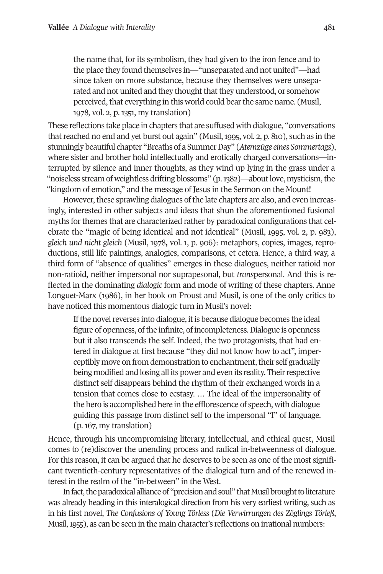the name that, for its symbolism, they had given to the iron fence and to the place they found themselves in—"unseparated and not united"—had since taken on more substance, because they themselves were unseparated and not united and they thought that they understood, or somehow perceived, that everything in this world could bear the same name. (Musil, 1978, vol. 2, p. 1351, my translation)

these reflections take place in chapters that are suffused with dialogue, "conversations that reached no end and yet burst out again" (Musil, 1995, vol. 2, p. 810), such as in the stunningly beautiful chapter "Breaths of a Summer Day" (Atemzüge eines Sommertags), where sister and brother hold intellectually and erotically charged conversations—interrupted by silence and inner thoughts, as they wind up lying in the grass under a "noiseless stream of weightless drifting blossoms" (p. 1382)—about love, mysticism, the "kingdom of emotion," and the message of Jesus in the sermon on the Mount!

However, these sprawling dialogues of the late chapters are also, and even increasingly, interested in other subjects and ideas that shun the aforementioned fusional myths for themes that are characterized rather by paradoxical configurations that celebrate the "magic of being identical and not identical" (Musil, 1995, vol. 2, p. 983), *gleich und nicht gleich* (Musil, 1978**,** vol. 1, p. 906): metaphors, copies, images, reproductions, still life paintings, analogies, comparisons, et cetera. Hence, a third way, a third form of "absence of qualities" emerges in these dialogues, neither ratioid nor non-ratioid, neither impersonal nor suprapesonal, but *trans*personal. And this is reflected in the dominating *dialogic* form and mode of writing of these chapters. Anne Longuet-Marx (1986), in her book on Proust and Musil, is one of the only critics to have noticed this momentous dialogic turn in Musil's novel:

If the novel reverses into dialogue, it is because dialogue becomes the ideal figure of openness, of the infinite, of incompleteness. Dialogue is openness but it also transcends the self. Indeed, the two protagonists, that had entered in dialogue at first because "they did not know how to act", imperceptibly move on from demonstration to enchantment, their self gradually being modified and losing all its power and even its reality. Their respective distinct self disappears behind the rhythm of their exchanged words in a tension that comes close to ecstasy. ... The ideal of the impersonality of the hero is accomplished here in the efflorescence of speech, with dialogue guiding this passage from distinct self to the impersonal "I" of language. (p. 167, my translation)

Hence, through his uncompromising literary, intellectual, and ethical quest, Musil comes to (re)discover the unending process and radical in-betweenness of dialogue. Forthis reason, it can be argued that he deserves to be seen as one of the most significant twentieth-century representatives of the dialogical turn and of the renewed interest in the realm of the "in-between" in the west.

In fact, the paradoxical alliance of "precision and soul" that Musil brought to literature was already heading in this interalogical direction from his very earliest writing, such as in his first novel, *The Confusions of Young Törless* (*Die Verwirrungen des Zöglings Törleß*, Musil,1955), as can be seen in the main character's reflections on irrational numbers: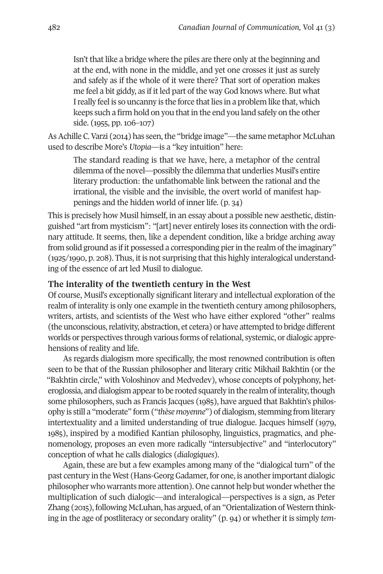Isn't that like a bridge where the piles are there only at the beginning and at the end, with none in the middle, and yet one crosses it just as surely and safely as if the whole of it were there? That sort of operation makes me feel a bit giddy, as if it led part of the way God knows where. but what I really feel is so uncanny is the force that lies in a problem like that, which keeps such a firm hold on you that in the end you land safely on the other side. (1955, pp. 106–107)

As Achille C. Varzi (2014) has seen, the "bridge image"—the same metaphor McLuhan used to describe More's *Utopia*—is a "key intuition" here:

The standard reading is that we have, here, a metaphor of the central dilemma of the novel—possibly the dilemma that underlies Musil's entire literary production: the unfathomable link between the rational and the irrational, the visible and the invisible, the overt world of manifest happenings and the hidden world of inner life. (p. 34)

this is precisely how Musil himself, in an essay about a possible new aesthetic, distinguished "art from mysticism": "[art] never entirely loses its connection with the ordinary attitude. It seems, then, like a dependent condition, like a bridge arching away from solid ground as if it possessed a corresponding pier in the realm of the imaginary" (1925/1990, p. 208). Thus, it is not surprising that this highly interalogical understanding of the essence of art led Musil to dialogue.

## **The interality of the twentieth century in the West**

of course, Musil's exceptionally significant literary and intellectual exploration of the realm of interality is only one example in the twentieth century among philosophers, writers, artists, and scientists of the west who have either explored "other" realms (the unconscious,relativity, abstraction, et cetera) or have attempted to bridge different worlds or perspectives through various forms ofrelational, systemic, or dialogic apprehensions of reality and life.

As regards dialogism more specifically, the most renowned contribution is often seen to be that of the Russian philosopher and literary critic Mikhail Bakhtin (or the "bakhtin circle," with Voloshinov and Medvedev), whose concepts of polyphony, heteroglossia, and dialogism appear to be rooted squarely in the realm of interality, though some philosophers, such as Francis Jacques (1985), have argued that bakhtin's philosophy is still a "moderate" form ("*thèse moyenne*") of dialogism, stemming from literary intertextuality and a limited understanding of true dialogue. Jacques himself (1979, 1985), inspired by a modified Kantian philosophy, linguistics, pragmatics, and phenomenology, proposes an even more radically "intersubjective" and "interlocutory" conception of what he calls dialogics (*dialogiques*).

Again, these are but a few examples among many of the "dialogical turn" of the past century in the west (Hans-GeorgGadamer, for one, is anotherimportant dialogic philosopher who warrants more attention). One cannot help but wonder whether the multiplication of such dialogic—and interalogical—perspectives is a sign, as Peter Zhang (2015), following McLuhan, has argued, of an "orientalization of western thinking in the age of postliteracy or secondary orality" (p. 94) or whether it is simply *tem-*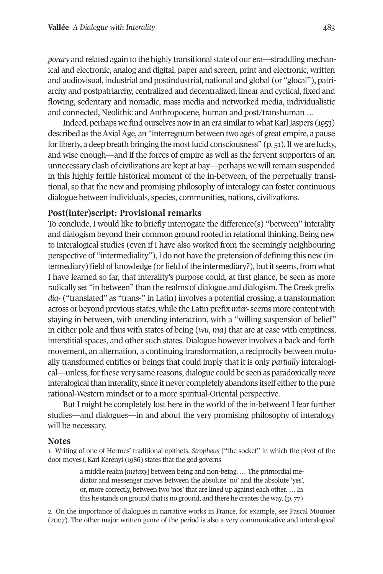*porary* and related again to the highly transitional state of our era—straddling mechanical and electronic, analog and digital, paper and screen, print and electronic, written and audiovisual, industrial and postindustrial, national and global (or "glocal"), patriarchy and postpatriarchy, centralized and decentralized, linear and cyclical, fixed and flowing, sedentary and nomadic, mass media and networked media, individualistic and connected, Neolithic and Anthropocene, human and post/transhuman …

Indeed, perhaps we find ourselves now in an era similar to what Karl Jaspers (1953) described as theAxialAge, an "interregnum between two ages of great empire, a pause for liberty, a deep breath bringing the most lucid consciousness"  $(p, 51)$ . If we are lucky, and wise enough—and if the forces of empire as well as the fervent supporters of an unnecessary clash of civilizations are kept at bay—perhaps we willremain suspended in this highly fertile historical moment of the in-between, of the perpetually transitional, so that the new and promising philosophy of interalogy can foster continuous dialogue between individuals, species, communities, nations, civilizations.

## **Post(inter)script: Provisional remarks**

to conclude, I would like to briefly interrogate the difference(s) "between" interality and dialogism beyond their common ground rooted in relational thinking. Being new to interalogical studies (even if I have also worked from the seemingly neighbouring perspective of "intermediality"), I do not have the pretension of defining this new (intermediary) field of knowledge (or field ofthe intermediary?), butit seems, from what I have learned so far, that interality's purpose could, at first glance, be seen as more radically set "in between" than the realms of dialogue and dialogism. The Greek prefix *dia-* ("translated" as "trans-" in Latin) involves a potential crossing, a transformation across or beyond previous states, while the Latin prefix *inter-* seems more content with staying in between, with unending interaction, with a "willing suspension of belief" in either pole and thus with states of being (*wu*, *ma*) that are at ease with emptiness, interstitial spaces, and other such states. Dialogue however involves a back-and-forth movement, an alternation, a continuing transformation, a reciprocity between mutually transformed entities or beings that could imply that it is only *partially* interalogical—unless, forthese very same reasons, dialogue could be seen as paradoxically *more* interalogical than interality, since it never completely abandons itself either to the pure rational-western mindset or to a more spiritual-oriental perspective.

but I might be completely lost here in the world of the in-between! I fear further studies—and dialogues—in and about the very promising philosophy of interalogy will be necessary.

#### **Notes**

1. writing of one of Hermes' traditional epithets, *Stropheus* ("the socket" in which the pivot of the door moves), Karl Kerényi (1986) states that the god governs

> <span id="page-14-1"></span><span id="page-14-0"></span>a middle realm [*metaxy*] between being and non-being. … the primordial mediator and messenger moves between the absolute 'no' and the absolute 'yes', or, more correctly, between two 'nos' that are lined up against each other. … In this he stands on ground that is no ground, and there he creates the way.  $(p. 77)$

2. on the importance of dialogues in narrative works in France, for example, see Pascal Mounier (2007). the other major written genre of the period is also a very communicative and interalogical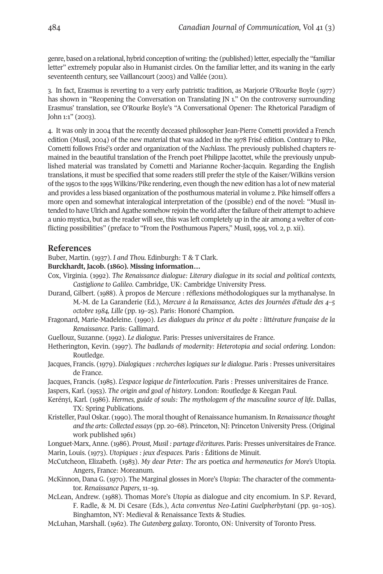<span id="page-15-0"></span>genre, based on a relational, hybrid conception of writing: the (published) letter, especially the "familiar letter" extremely popular also in Humanist circles. on the familiar letter, and its waning in the early seventeenth century, see Vaillancourt (2003) and Vallée (2011).

3. In fact, erasmus is reverting to a very early patristic tradition, as Marjorie o'rourke boyle (1977) has shown in "Reopening the Conversation on Translating JN 1." On the controversy surrounding Erasmus' translation, see O'Rourke Boyle's "A Conversational Opener: The Rhetorical Paradigm of John 1:1" (2003).

<span id="page-15-1"></span>4. It was only in 2004 that the recently deceased philosopher Jean-Pierre cometti provided a French edition (Musil, 2004) of the new material that was added in the 1978 Frisé edition. contrary to Pike, cometti follows Frisé's order and organization of the *Nachlass*. the previously published chapters remained in the beautiful translation of the French poet Philippe Jacottet, while the previously unpublished material was translated by Cometti and Marianne Rocher-Jacquin. Regarding the English translations, it must be specified that some readers still prefer the style of the Kaiser/wilkins version ofthe 1950s to the 1995 wilkins/Pike rendering, even though the new edition has a lot of new material and provides a less biased organization of the posthumous material in volume 2. Pike himself offers a more open and somewhat interalogical interpretation of the (possible) end of the novel: "Musil intended to have Ulrich and Agathe somehow rejoin the world after the failure of their attempt to achieve a unio mystica, but as the reader will see, this was left completely up in the air among a welter of conflicting possibilities" (preface to "From the Posthumous Papers," Musil, 1995, vol. 2, p. xii).

#### **References**

Buber, Martin. (1937). *I and Thou*. Edinburgh: T & T Clark.

#### **Burckhardt, Jacob. (1860). Missing information…**

- cox, Virginia. (1992). *The Renaissance dialogue: Literary dialogue in its social and political contexts, Castiglione to Galileo*. cambridge, UK: cambridge University Press.
- durand, Gilbert. (1988). À propos de Mercure : réflexions méthodologiques sur la mythanalyse. In M.-M. de La Garanderie (ed.), *Mercure à la Renaissance, Actes des Journées d'étude des 4–5 octobre 1984, Lille* (pp. 19–25). Paris: Honoré champion.
- Fragonard, Marie-Madeleine. (1990). *Les dialogues du prince et du poète : littérature française de la Renaissance*. Paris: Gallimard.
- Guellouz, suzanne. (1992). *Le dialogue*. Paris: Presses universitaires de France.
- Hetherington, Kevin. (1997). *The badlands of modernity: Heterotopia and social ordering*. London: Routledge.
- Jacques, Francis. (1979). *Dialogiques:rechercheslogiquessurle dialogue*. Paris : Presses universitaires de France.

Jacques, Francis. (1985). *L'espace logique de l'interlocution*. Paris : Presses universitaires de France.

Jaspers, Karl. (1953). The origin and goal of history. London: Routledge & Keegan Paul.

- Kerényi, Karl. (1986). *Hermes, guide of souls: The mythologem of the masculine source of life*. dallas, TX: Spring Publications.
- Kristeller, Paul Oskar. (1990). The moral thought of Renaissance humanism. In *Renaissance thought and the arts: Collected essays* (pp. 20–68). Princeton, NJ: Princeton University Press. (original work published 1961)

Longuet-Marx, Anne. (1986). *Proust, Musil : partage d'écritures*. Paris: Presses universitaires de France. Marin, Louis. (1973). *Utopiques : jeux d'espaces*. Paris : éditions de Minuit.

- Mccutcheon, elizabeth. (1983). *My dear Peter: The* ars poetica *and hermeneutics for More's* Utopia. Angers, France: Moreanum.
- McKinnon, Dana G. (1970). The Marginal glosses in More's *Utopia*: The character of the commentator. *Renaissance Papers*, 11–19.
- McLean, Andrew. (1988). Thomas More's *Utopia* as dialogue and city encomium. In S.P. Revard, F. radle, & M. di cesare (eds.), *Acta conventus Neo-Latini Guelpherbytani* (pp. 91–105). Binghamton, NY: Medieval & Renaissance Texts & Studies.
- McLuhan, Marshall. (1962). *The Gutenberg galaxy*. toronto, oN: University of toronto Press.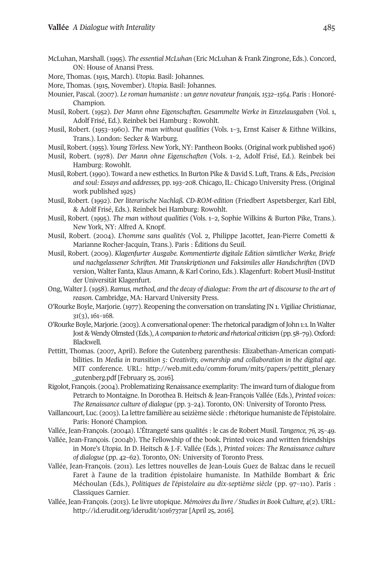- McLuhan, Marshall. (1995). *The essential McLuhan* (eric McLuhan & Frank Zingrone, eds.). concord, oN: House of Anansi Press.
- More, Thomas. (1915, March). *Utopia*. Basil: Johannes.
- More, Thomas. (1915, November). *Utopia*. Basil: Johannes.
- Mounier, Pascal. (2007). *Le roman humaniste : un genre novateur français, 1532–1564*. Paris : Honoréchampion.
- Musil, robert. (1952). *Der Mann ohne Eigenschaften. Gesammelte Werke in Einzelausgaben* (Vol. 1, Adolf Frisé, Ed.). Reinbek bei Hamburg : Rowohlt.
- Musil, Robert. (1953-1960). *The man without qualities* (Vols. 1-3, Ernst Kaiser & Eithne Wilkins, trans.). London: secker & warburg.
- Musil, robert. (1955). *Young Törless*. New york, Ny: Pantheon books. (original work published 1906)
- Musil, robert. (1978). *Der Mann ohne Eigenschaften* (Vols. 1–2, Adolf Frisé, ed.). reinbek bei Hamburg: Rowohlt.
- Musil, Robert. (1990). Toward a new esthetics. In Burton Pike & David S. Luft, Trans. & Eds., *Precision and soul: Essays and addresses,* pp.193–208. chicago, IL: chicago University Press. (original work published 1925)
- Musil, robert. (1992). *Der literarische Nachlaß. CD-ROM-edition* (Friedbert Aspetsberger, Karl eibl, & Adolf Frisé, Eds.). Reinbek bei Hamburg: Rowohlt.
- Musil, Robert. (1995). *The man without qualities* (Vols. 1-2, Sophie Wilkins & Burton Pike, Trans.). New york, Ny: Alfred A. Knopf.
- Musil, robert. (2004). *L'homme sans qualités* (Vol. 2, Philippe Jacottet, Jean-Pierre cometti & Marianne Rocher-Jacquin, Trans.). Paris : Éditions du Seuil.
- Musil, robert. (2009). *Klagenfurter Ausgabe. Kommentierte digitale Edition sämtlicher Werke, Briefe und nachgelassener Schriften. Mit Transkriptionen und Faksimiles aller Handschriften* (dVd version, walter Fanta, Klaus Amann, & Karl corino, eds.). Klagenfurt: robert Musil-Institut der Universität Klagenfurt.
- ong, walter J. (1958). *Ramus, method, and the decay of dialogue: From the art of discourse to the art of reason*. cambridge, MA: Harvard University Press.
- o'rourke boyle, Marjorie. (1977). reopening the conversation on translating JN 1. *Vigiliae Christianae*, *31*(3), 161–168.
- O'Rourke Boyle, Marjorie. (2003). A conversational opener: The rhetorical paradigm of John 1:1. In Walter Jost&wendyolmsted(eds.),*Acompanionto rhetoric and rhetorical criticism*(pp. 58–79).oxford: blackwell.
- Pettitt, thomas. (2007**,** April). before the Gutenberg parenthesis: elizabethan-American compatibilities. In *Media in transition 5: Creativity, ownership and collaboration in the digital age*. MIT conference. URL: [http://web.mit.edu/comm-forum/mit5/papers/pettitt\\_plenary](http://web.mit.edu/comm-forum/mit5/papers/pettitt_plenary_gutenberg.pdf) [\\_gutenberg.pdf](http://web.mit.edu/comm-forum/mit5/papers/pettitt_plenary_gutenberg.pdf) [February 25, 2016].
- Rigolot, François. (2004). Problematizing Renaissance exemplarity: The inward turn of dialogue from Petrarch to Montaigne. In dorothea b. Heitsch & Jean-François Vallée (eds.), *Printed voices: The Renaissance culture of dialogue* (pp. 3–24). toronto, oN: University of toronto Press.
- Vaillancourt, Luc. (2003). La lettre familière au seizième siècle :rhétorique humaniste de l'épistolaire. Paris: Honoré champion.
- Vallée, Jean-François. (2004a). L'étrangeté sans qualités : le cas de robert Musil. *Tangence, 76,* 25–49.
- Vallée, Jean-François. (2004b). the Fellowship of the book*.* Printed voices and written friendships in More's *Utopia*. In d. Heitsch & J.-F. Vallée (eds.), *Printed voices: The Renaissance culture* of *dialogue* (pp. 42–62). Toronto, ON: University of Toronto Press.
- Vallée, Jean-François. (2011). Les lettres nouvelles de Jean-Louis Guez de balzac dans le recueil Faret à l'aune de la tradition épistolaire humaniste. In Mathilde bombart & éric Méchoulan (eds.), *Politiques de l'épistolaire au dix-septième siècle* (pp. 97–110). Paris : classiques Garnier.
- Vallée, Jean-François. (2013). Le livre utopique. *Mémoires du livre / Studiesin Book Culture, 4*(2). UrL: [http://id.erudit.org/iderudit/1016737ar](mailto:http://id.erudit.org/iderudit/1016737ar) [April 25, 2016].